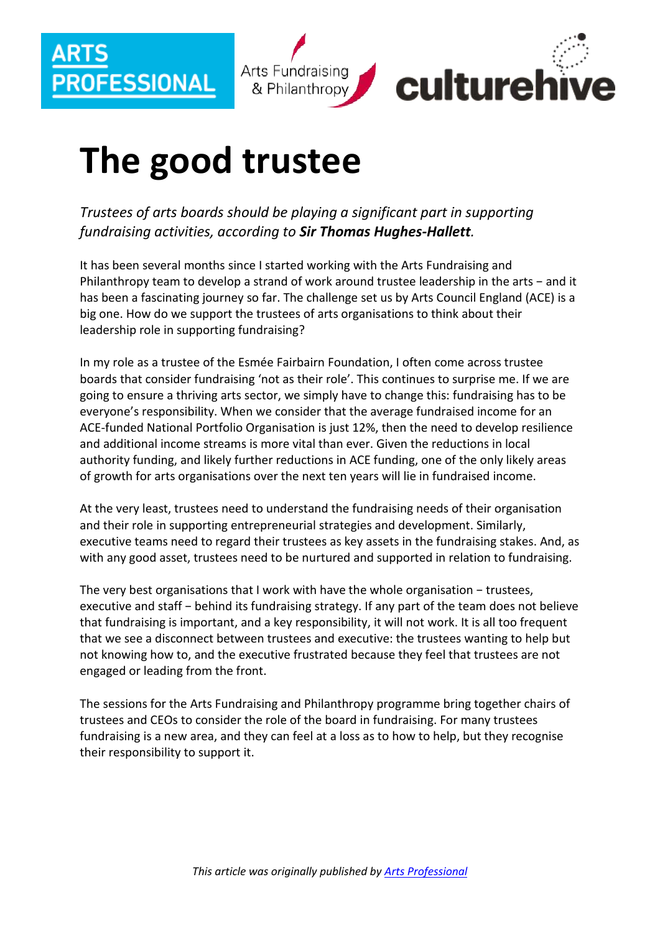

## **The good trustee**

*Trustees of arts boards should be playing a significant part in supporting fundraising activities, according to Sir Thomas Hughes-Hallett.*

It has been several months since I started working with the Arts Fundraising and Philanthropy team to develop a strand of work around trustee leadership in the arts − and it has been a fascinating journey so far. The challenge set us by Arts Council England (ACE) is a big one. How do we support the trustees of arts organisations to think about their leadership role in supporting fundraising?

In my role as a trustee of the Esmée Fairbairn Foundation, I often come across trustee boards that consider fundraising 'not as their role'. This continues to surprise me. If we are going to ensure a thriving arts sector, we simply have to change this: fundraising has to be everyone's responsibility. When we consider that the average fundraised income for an ACE-funded National Portfolio Organisation is just 12%, then the need to develop resilience and additional income streams is more vital than ever. Given the reductions in local authority funding, and likely further reductions in ACE funding, one of the only likely areas of growth for arts organisations over the next ten years will lie in fundraised income.

At the very least, trustees need to understand the fundraising needs of their organisation and their role in supporting entrepreneurial strategies and development. Similarly, executive teams need to regard their trustees as key assets in the fundraising stakes. And, as with any good asset, trustees need to be nurtured and supported in relation to fundraising.

The very best organisations that I work with have the whole organisation − trustees, executive and staff – behind its fundraising strategy. If any part of the team does not believe that fundraising is important, and a key responsibility, it will not work. It is all too frequent that we see a disconnect between trustees and executive: the trustees wanting to help but not knowing how to, and the executive frustrated because they feel that trustees are not engaged or leading from the front.

The sessions for the Arts Fundraising and Philanthropy programme bring together chairs of trustees and CEOs to consider the role of the board in fundraising. For many trustees fundraising is a new area, and they can feel at a loss as to how to help, but they recognise their responsibility to support it.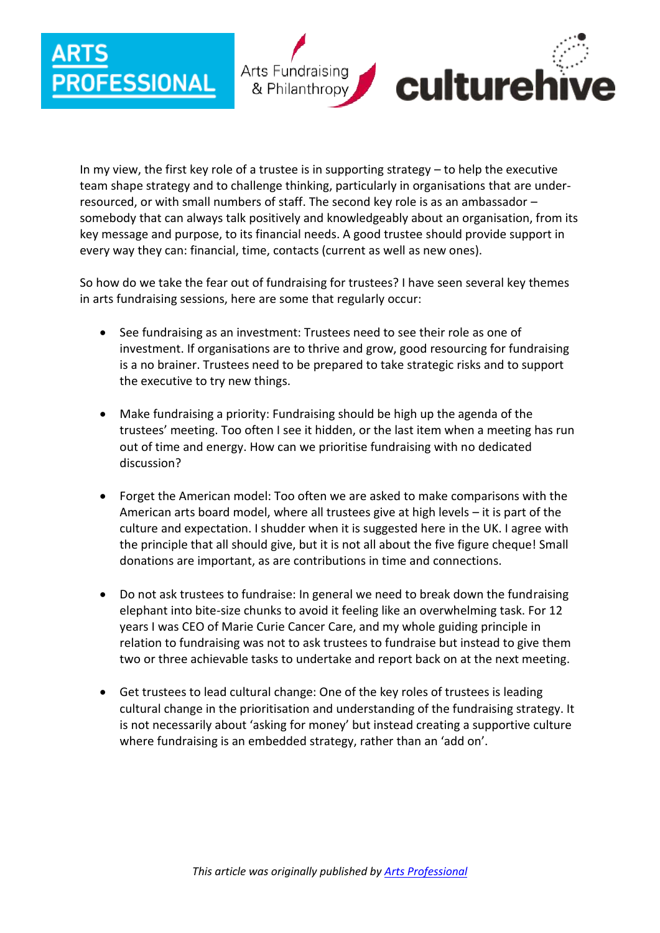## **FESSIONAL**



In my view, the first key role of a trustee is in supporting strategy – to help the executive team shape strategy and to challenge thinking, particularly in organisations that are underresourced, or with small numbers of staff. The second key role is as an ambassador – somebody that can always talk positively and knowledgeably about an organisation, from its key message and purpose, to its financial needs. A good trustee should provide support in every way they can: financial, time, contacts (current as well as new ones).

So how do we take the fear out of fundraising for trustees? I have seen several key themes in arts fundraising sessions, here are some that regularly occur:

- See fundraising as an investment: Trustees need to see their role as one of investment. If organisations are to thrive and grow, good resourcing for fundraising is a no brainer. Trustees need to be prepared to take strategic risks and to support the executive to try new things.
- Make fundraising a priority: Fundraising should be high up the agenda of the trustees' meeting. Too often I see it hidden, or the last item when a meeting has run out of time and energy. How can we prioritise fundraising with no dedicated discussion?
- Forget the American model: Too often we are asked to make comparisons with the American arts board model, where all trustees give at high levels – it is part of the culture and expectation. I shudder when it is suggested here in the UK. I agree with the principle that all should give, but it is not all about the five figure cheque! Small donations are important, as are contributions in time and connections.
- Do not ask trustees to fundraise: In general we need to break down the fundraising elephant into bite-size chunks to avoid it feeling like an overwhelming task. For 12 years I was CEO of Marie Curie Cancer Care, and my whole guiding principle in relation to fundraising was not to ask trustees to fundraise but instead to give them two or three achievable tasks to undertake and report back on at the next meeting.
- Get trustees to lead cultural change: One of the key roles of trustees is leading cultural change in the prioritisation and understanding of the fundraising strategy. It is not necessarily about 'asking for money' but instead creating a supportive culture where fundraising is an embedded strategy, rather than an 'add on'.